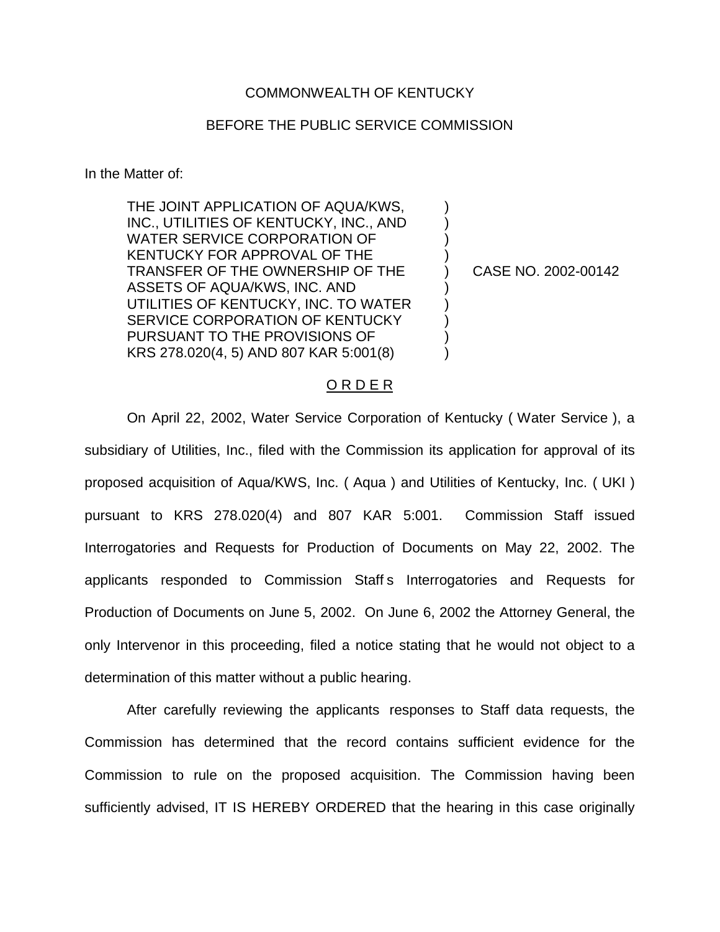## COMMONWEALTH OF KENTUCKY

## BEFORE THE PUBLIC SERVICE COMMISSION

) ) ) )

) ) ) ) )

In the Matter of:

THE JOINT APPLICATION OF AQUA/KWS, INC., UTILITIES OF KENTUCKY, INC., AND WATER SERVICE CORPORATION OF KENTUCKY FOR APPROVAL OF THE TRANSFER OF THE OWNERSHIP OF THE ASSETS OF AQUA/KWS, INC. AND UTILITIES OF KENTUCKY, INC. TO WATER SERVICE CORPORATION OF KENTUCKY PURSUANT TO THE PROVISIONS OF KRS 278.020(4, 5) AND 807 KAR 5:001(8)

) CASE NO. 2002-00142

## O R D E R

On April 22, 2002, Water Service Corporation of Kentucky ( Water Service ), a subsidiary of Utilities, Inc., filed with the Commission its application for approval of its proposed acquisition of Aqua/KWS, Inc. ( Aqua ) and Utilities of Kentucky, Inc. ( UKI ) pursuant to KRS 278.020(4) and 807 KAR 5:001. Commission Staff issued Interrogatories and Requests for Production of Documents on May 22, 2002. The applicants responded to Commission Staff s Interrogatories and Requests for Production of Documents on June 5, 2002. On June 6, 2002 the Attorney General, the only Intervenor in this proceeding, filed a notice stating that he would not object to a determination of this matter without a public hearing.

After carefully reviewing the applicants responses to Staff data requests, the Commission has determined that the record contains sufficient evidence for the Commission to rule on the proposed acquisition. The Commission having been sufficiently advised, IT IS HEREBY ORDERED that the hearing in this case originally